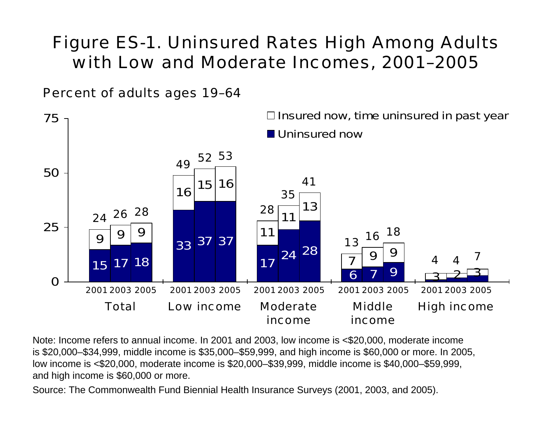## Figure ES-1. Uninsured Rates High Among Adults with Low and Moderate Incomes, 2001–2005

Percent of adults ages 19–64



Note: Income refers to annual income. In 2001 and 2003, low income is <\$20,000, moderate income is \$20,000–\$34,999, middle income is \$35,000–\$59,999, and high income is \$60,000 or more. In 2005, low income is <\$20,000, moderate income is \$20,000–\$39,999, middle income is \$40,000–\$59,999, and high income is \$60,000 or more.

Source: The Commonwealth Fund Biennial Health Insurance Surveys (2001, 2003, and 2005).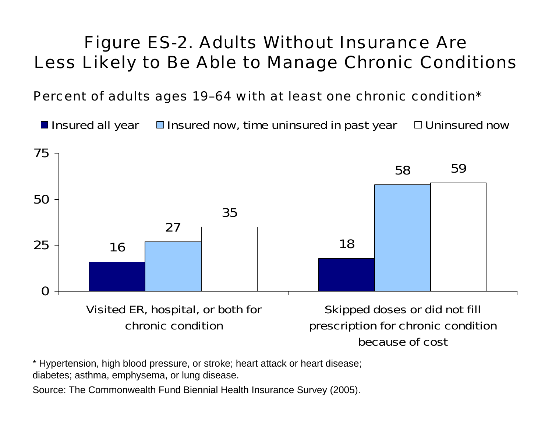## Figure ES-2. Adults Without Insurance Are Less Likely to Be Able to Manage Chronic Conditions

Percent of adults ages 19–64 with at least one chronic condition\*

**Insured all year Insured now, time uninsured in past year Industry Duninsured now** 



\* Hypertension, high blood pressure, or stroke; heart attack or heart disease; diabetes; asthma, emphysema, or lung disease.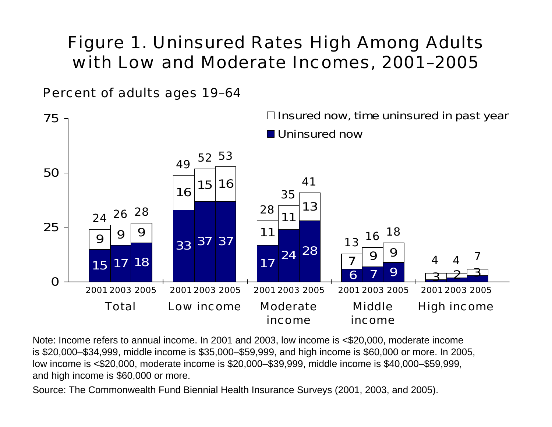## Figure 1. Uninsured Rates High Among Adults with Low and Moderate Incomes, 2001–2005

Percent of adults ages 19–64



Note: Income refers to annual income. In 2001 and 2003, low income is <\$20,000, moderate income is \$20,000–\$34,999, middle income is \$35,000–\$59,999, and high income is \$60,000 or more. In 2005, low income is <\$20,000, moderate income is \$20,000–\$39,999, middle income is \$40,000–\$59,999, and high income is \$60,000 or more.

Source: The Commonwealth Fund Biennial Health Insurance Surveys (2001, 2003, and 2005).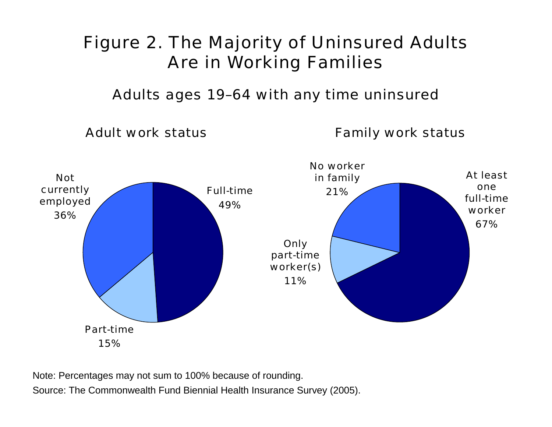# Figure 2. The Majority of Uninsured Adults Are in Working Families

Adults ages 19–64 with any time uninsured

Adult work status

Family work status



Note: Percentages may not sum to 100% because of rounding. Source: The Commonwealth Fund Biennial Health Insurance Survey (2005).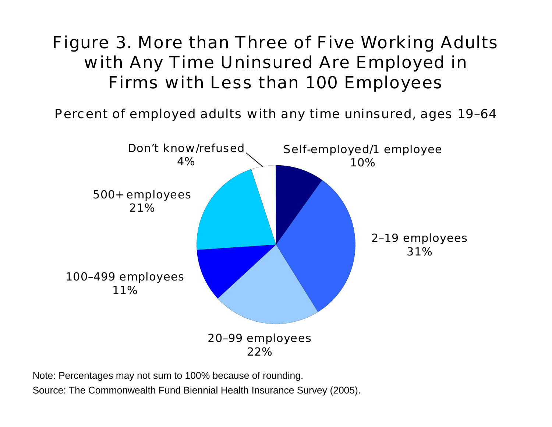## Figure 3. More than Three of Five Working Adults with Any Time Uninsured Are Employed in Firms with Less than 100 Employees

Percent of employed adults with any time uninsured, ages 19–64



Note: Percentages may not sum to 100% because of rounding. Source: The Commonwealth Fund Biennial Health Insurance Survey (2005).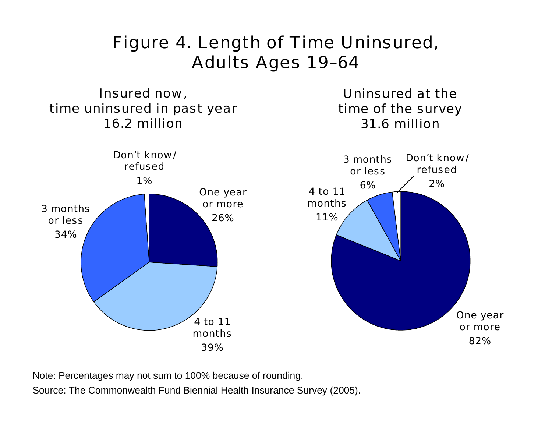## Figure 4. Length of Time Uninsured, Adults Ages 19–64

Insured now, time uninsured in past year 16.2 million

Uninsured at thetime of the survey 31.6 million



Note: Percentages may not sum to 100% because of rounding.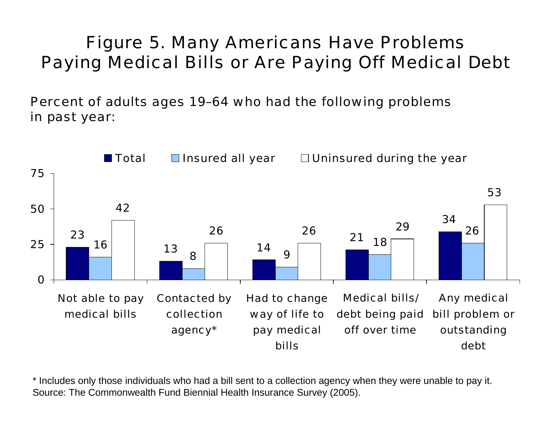# Figure 5. Many Americans Have Problems Paying Medical Bills or Are Paying Off Medical Debt

Percent of adults ages 19–64 who had the following problems in past year:



\* Includes only those individuals who had a bill sent to a collection agency when they were unable to pay it. Source: The Commonwealth Fund Biennial Health Insurance Survey (2005).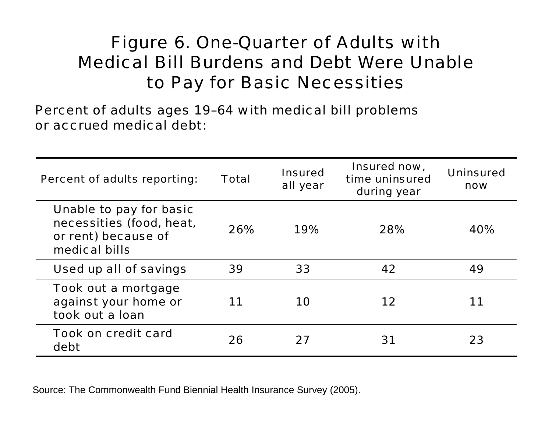## Figure 6. One-Quarter of Adults with Medical Bill Burdens and Debt Were Unableto Pay for Basic Necessities

Percent of adults ages 19–64 with medical bill problems or accrued medical debt:

| <b>Percent of adults reporting:</b>                                                         | <b>Total</b> | <b>Insured</b><br>all year | Insured now,<br>time uninsured<br>during year | <b>Uninsured</b><br>now |
|---------------------------------------------------------------------------------------------|--------------|----------------------------|-----------------------------------------------|-------------------------|
| Unable to pay for basic<br>necessities (food, heat,<br>or rent) because of<br>medical bills | 26%          | 19%                        | 28%                                           | 40%                     |
| Used up all of savings                                                                      | 39           | 33                         | 42                                            | 49                      |
| Took out a mortgage<br>against your home or<br>took out a loan                              | 11           | 10                         | 12                                            | 11                      |
| <b>Took on credit card</b><br>debt                                                          | 26           | 27                         | 31                                            | 23                      |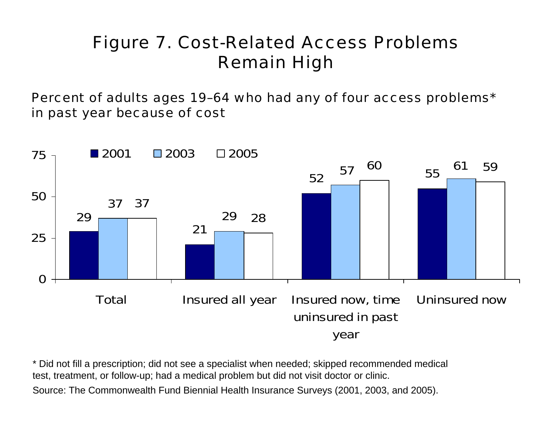# Figure 7. Cost-Related Access Problems Remain High

Percent of adults ages 19–64 who had any of four access problems\* in past year because of cost



\* Did not fill a prescription; did not see a specialist when needed; skipped recommended medical test, treatment, or follow-up; had a medical problem but did not visit doctor or clinic. Source: The Commonwealth Fund Biennial Health Insurance Surveys (2001, 2003, and 2005).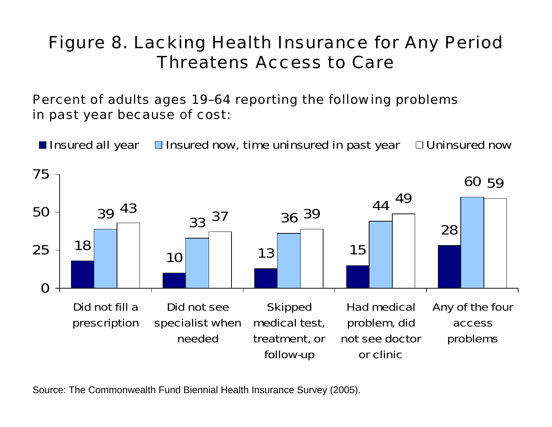## Figure 8. Lacking Health Insurance for Any Period Threatens Access to Care

Percent of adults ages 19–64 reporting the following problems in past year because of cost:

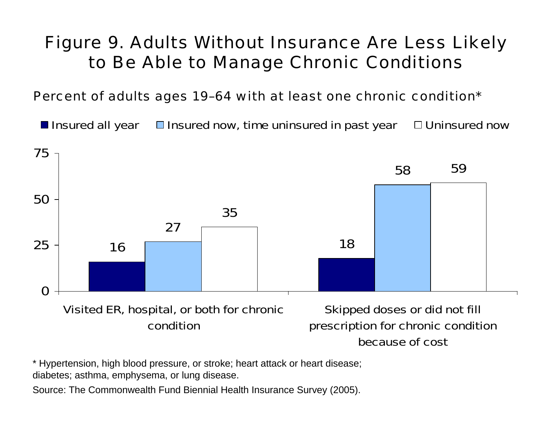## Figure 9. Adults Without Insurance Are Less Likely to Be Able to Manage Chronic Conditions

Percent of adults ages 19–64 with at least one chronic condition\*

**Insured all year Insured now, time uninsured in past year Industry Duninsured now** 



\* Hypertension, high blood pressure, or stroke; heart attack or heart disease; diabetes; asthma, emphysema, or lung disease.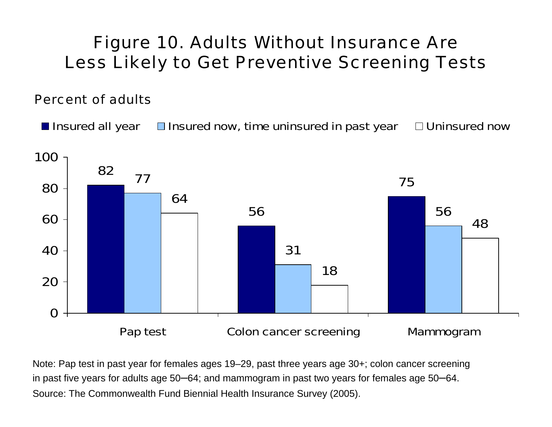#### Figure 10. Adults Without Insurance Are Less Likely to Get Preventive Screening Tests

#### Percent of adults

**Insured all year Insured now, time uninsured in past year Industry Duninsured now** 



Note: Pap test in past year for females ages 19–29, past three years age 30+; colon cancer screening in past five years for adults age 50 –64; and mammogram in past two years for females age 50 –64. Source: The Commonwealth Fund Biennial Health Insurance Survey (2005).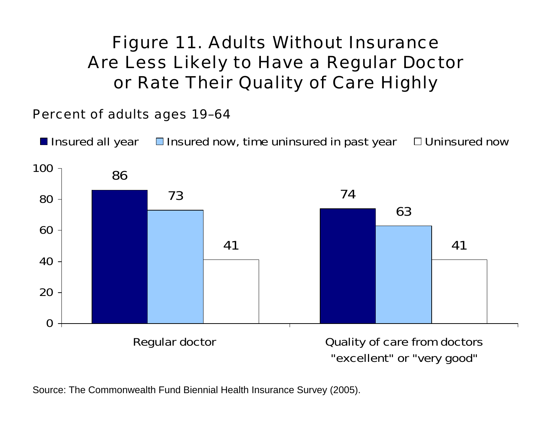## Figure 11. Adults Without Insurance Are Less Likely to Have a Regular Doctor or Rate Their Quality of Care Highly

Percent of adults ages 19–64

**Insured all year Insured now, time uninsured in past year Industry Duninsured now** 

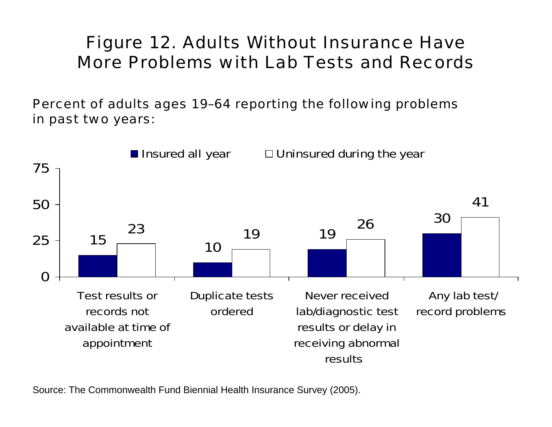## Figure 12. Adults Without Insurance Have More Problems with Lab Tests and Records

Percent of adults ages 19–64 reporting the following problems in past two years:

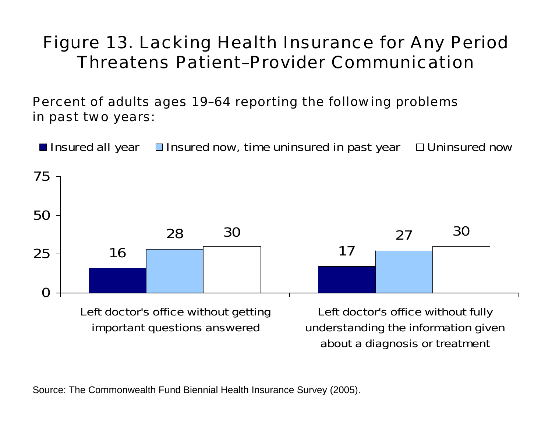## Figure 13. Lacking Health Insurance for Any Period Threatens Patient–Provider Communication

Percent of adults ages 19–64 reporting the following problems in past two years:

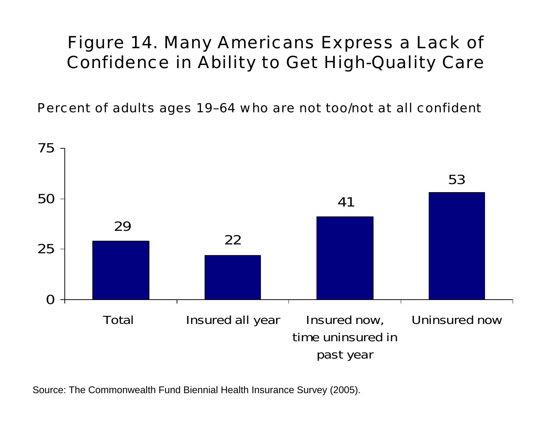## Figure 14. Many Americans Express a Lack of Confidence in Ability to Get High-Quality Care

Percent of adults ages 19–64 who are not too/not at all confident